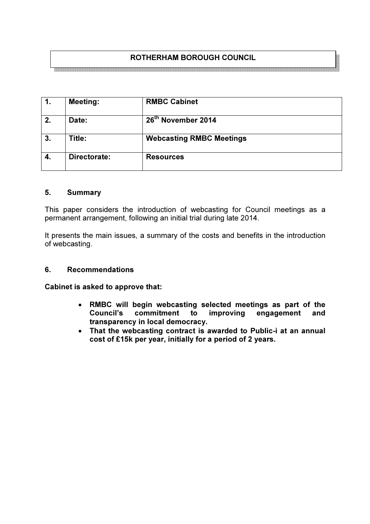## ROTHERHAM BOROUGH COUNCIL

| 1. | <b>Meeting:</b> | <b>RMBC Cabinet</b>             |
|----|-----------------|---------------------------------|
| 2. | Date:           | 26 <sup>th</sup> November 2014  |
| 3. | Title:          | <b>Webcasting RMBC Meetings</b> |
| 4. | Directorate:    | <b>Resources</b>                |

#### 5. Summary

This paper considers the introduction of webcasting for Council meetings as a permanent arrangement, following an initial trial during late 2014.

It presents the main issues, a summary of the costs and benefits in the introduction of webcasting.

#### 6. Recommendations

Cabinet is asked to approve that:

- RMBC will begin webcasting selected meetings as part of the Council's commitment to improving engagement and transparency in local democracy.
- That the webcasting contract is awarded to Public-i at an annual cost of £15k per year, initially for a period of 2 years.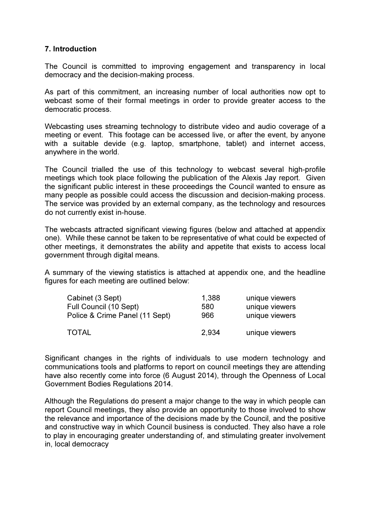# 7. Introduction

The Council is committed to improving engagement and transparency in local democracy and the decision-making process.

As part of this commitment, an increasing number of local authorities now opt to webcast some of their formal meetings in order to provide greater access to the democratic process.

Webcasting uses streaming technology to distribute video and audio coverage of a meeting or event. This footage can be accessed live, or after the event, by anyone with a suitable devide (e.g. laptop, smartphone, tablet) and internet access, anywhere in the world.

The Council trialled the use of this technology to webcast several high-profile meetings which took place following the publication of the Alexis Jay report. Given the significant public interest in these proceedings the Council wanted to ensure as many people as possible could access the discussion and decision-making process. The service was provided by an external company, as the technology and resources do not currently exist in-house.

The webcasts attracted significant viewing figures (below and attached at appendix one). While these cannot be taken to be representative of what could be expected of other meetings, it demonstrates the ability and appetite that exists to access local government through digital means.

A summary of the viewing statistics is attached at appendix one, and the headline figures for each meeting are outlined below:

| Cabinet (3 Sept)               | 1,388 | unique viewers |
|--------------------------------|-------|----------------|
| Full Council (10 Sept)         | 580   | unique viewers |
| Police & Crime Panel (11 Sept) | 966   | unique viewers |
| TOTAL                          | 2.934 | unique viewers |

Significant changes in the rights of individuals to use modern technology and communications tools and platforms to report on council meetings they are attending have also recently come into force (6 August 2014), through the Openness of Local Government Bodies Regulations 2014.

Although the Regulations do present a major change to the way in which people can report Council meetings, they also provide an opportunity to those involved to show the relevance and importance of the decisions made by the Council, and the positive and constructive way in which Council business is conducted. They also have a role to play in encouraging greater understanding of, and stimulating greater involvement in, local democracy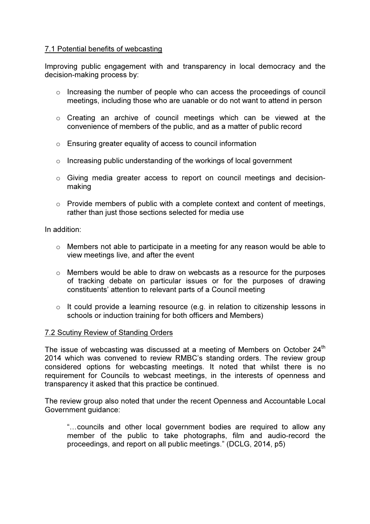# 7.1 Potential benefits of webcasting

Improving public engagement with and transparency in local democracy and the decision-making process by:

- o Increasing the number of people who can access the proceedings of council meetings, including those who are uanable or do not want to attend in person
- o Creating an archive of council meetings which can be viewed at the convenience of members of the public, and as a matter of public record
- o Ensuring greater equality of access to council information
- o Increasing public understanding of the workings of local government
- o Giving media greater access to report on council meetings and decisionmaking
- $\circ$  Provide members of public with a complete context and content of meetings, rather than just those sections selected for media use

In addition:

- o Members not able to participate in a meeting for any reason would be able to view meetings live, and after the event
- $\circ$  Members would be able to draw on webcasts as a resource for the purposes of tracking debate on particular issues or for the purposes of drawing constituents' attention to relevant parts of a Council meeting
- $\circ$  It could provide a learning resource (e.g. in relation to citizenship lessons in schools or induction training for both officers and Members)

#### 7.2 Scutiny Review of Standing Orders

The issue of webcasting was discussed at a meeting of Members on October  $24<sup>th</sup>$ 2014 which was convened to review RMBC's standing orders. The review group considered options for webcasting meetings. It noted that whilst there is no requirement for Councils to webcast meetings, in the interests of openness and transparency it asked that this practice be continued.

The review group also noted that under the recent Openness and Accountable Local Government guidance:

"…councils and other local government bodies are required to allow any member of the public to take photographs, film and audio-record the proceedings, and report on all public meetings." (DCLG, 2014, p5)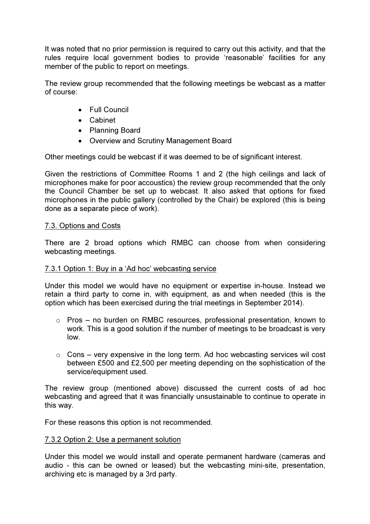It was noted that no prior permission is required to carry out this activity, and that the rules require local government bodies to provide 'reasonable' facilities for any member of the public to report on meetings.

The review group recommended that the following meetings be webcast as a matter of course:

- Full Council
- Cabinet
- Planning Board
- Overview and Scrutiny Management Board

Other meetings could be webcast if it was deemed to be of significant interest.

Given the restrictions of Committee Rooms 1 and 2 (the high ceilings and lack of microphones make for poor accoustics) the review group recommended that the only the Council Chamber be set up to webcast. It also asked that options for fixed microphones in the public gallery (controlled by the Chair) be explored (this is being done as a separate piece of work).

#### 7.3. Options and Costs

There are 2 broad options which RMBC can choose from when considering webcasting meetings.

#### 7.3.1 Option 1: Buy in a 'Ad hoc' webcasting service

Under this model we would have no equipment or expertise in-house. Instead we retain a third party to come in, with equipment, as and when needed (this is the option which has been exercised during the trial meetings in September 2014).

- o Pros no burden on RMBC resources, professional presentation, known to work. This is a good solution if the number of meetings to be broadcast is very low.
- $\circ$  Cons very expensive in the long term. Ad hoc webcasting services wil cost between £500 and £2,500 per meeting depending on the sophistication of the service/equipment used.

The review group (mentioned above) discussed the current costs of ad hoc webcasting and agreed that it was financially unsustainable to continue to operate in this way.

For these reasons this option is not recommended.

#### 7.3.2 Option 2: Use a permanent solution

Under this model we would install and operate permanent hardware (cameras and audio - this can be owned or leased) but the webcasting mini-site, presentation, archiving etc is managed by a 3rd party.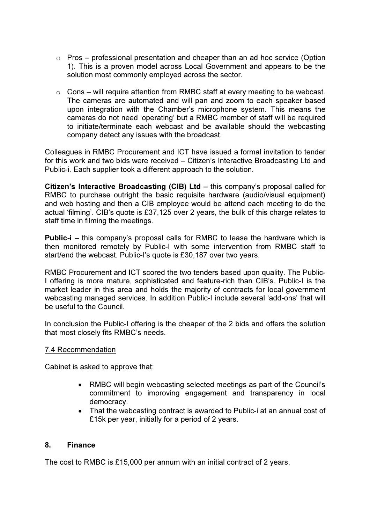- $\circ$  Pros professional presentation and cheaper than an ad hoc service (Option 1). This is a proven model across Local Government and appears to be the solution most commonly employed across the sector.
- $\circ$  Cons will require attention from RMBC staff at every meeting to be webcast. The cameras are automated and will pan and zoom to each speaker based upon integration with the Chamber's microphone system. This means the cameras do not need 'operating' but a RMBC member of staff will be required to initiate/terminate each webcast and be available should the webcasting company detect any issues with the broadcast.

Colleagues in RMBC Procurement and ICT have issued a formal invitation to tender for this work and two bids were received – Citizen's Interactive Broadcasting Ltd and Public-i. Each supplier took a different approach to the solution.

Citizen's Interactive Broadcasting (CIB) Ltd – this company's proposal called for RMBC to purchase outright the basic requisite hardware (audio/visual equipment) and web hosting and then a CIB employee would be attend each meeting to do the actual 'filming'. CIB's quote is £37,125 over 2 years, the bulk of this charge relates to staff time in filming the meetings.

Public-i – this company's proposal calls for RMBC to lease the hardware which is then monitored remotely by Public-I with some intervention from RMBC staff to start/end the webcast. Public-I's quote is £30,187 over two years.

RMBC Procurement and ICT scored the two tenders based upon quality. The Public-I offering is more mature, sophisticated and feature-rich than CIB's. Public-I is the market leader in this area and holds the majority of contracts for local government webcasting managed services. In addition Public-I include several 'add-ons' that will be useful to the Council.

In conclusion the Public-I offering is the cheaper of the 2 bids and offers the solution that most closely fits RMBC's needs.

#### 7.4 Recommendation

Cabinet is asked to approve that:

- RMBC will begin webcasting selected meetings as part of the Council's commitment to improving engagement and transparency in local democracy.
- That the webcasting contract is awarded to Public-i at an annual cost of £15k per year, initially for a period of 2 years.

#### 8. Finance

The cost to RMBC is £15,000 per annum with an initial contract of 2 years.